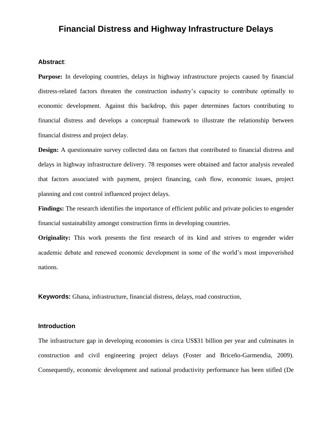# **Financial Distress and Highway Infrastructure Delays**

# **Abstract**:

**Purpose:** In developing countries, delays in highway infrastructure projects caused by financial distress-related factors threaten the construction industry's capacity to contribute optimally to economic development. Against this backdrop, this paper determines factors contributing to financial distress and develops a conceptual framework to illustrate the relationship between financial distress and project delay.

**Design:** A questionnaire survey collected data on factors that contributed to financial distress and delays in highway infrastructure delivery. 78 responses were obtained and factor analysis revealed that factors associated with payment, project financing, cash flow, economic issues, project planning and cost control influenced project delays.

**Findings:** The research identifies the importance of efficient public and private policies to engender financial sustainability amongst construction firms in developing countries.

**Originality:** This work presents the first research of its kind and strives to engender wider academic debate and renewed economic development in some of the world's most impoverished nations.

**Keywords:** Ghana, infrastructure, financial distress, delays, road construction,

# **Introduction**

The infrastructure gap in developing economies is circa US\$31 billion per year and culminates in construction and civil engineering project delays (Foster and Briceño-Garmendia, 2009). Consequently, economic development and national productivity performance has been stifled (De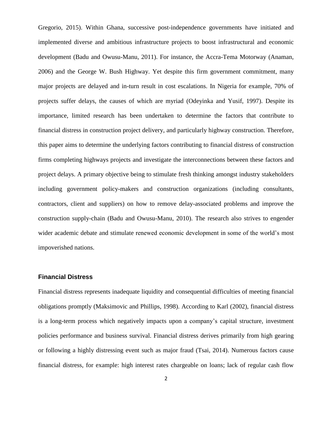Gregorio, 2015). Within Ghana, successive post-independence governments have initiated and implemented diverse and ambitious infrastructure projects to boost infrastructural and economic development (Badu and Owusu-Manu, 2011). For instance, the Accra-Tema Motorway (Anaman, 2006) and the George W. Bush Highway. Yet despite this firm government commitment, many major projects are delayed and in-turn result in cost escalations. In Nigeria for example, 70% of projects suffer delays, the causes of which are myriad (Odeyinka and Yusif, 1997). Despite its importance, limited research has been undertaken to determine the factors that contribute to financial distress in construction project delivery, and particularly highway construction. Therefore, this paper aims to determine the underlying factors contributing to financial distress of construction firms completing highways projects and investigate the interconnections between these factors and project delays. A primary objective being to stimulate fresh thinking amongst industry stakeholders including government policy-makers and construction organizations (including consultants, contractors, client and suppliers) on how to remove delay-associated problems and improve the construction supply-chain (Badu and Owusu-Manu, 2010). The research also strives to engender wider academic debate and stimulate renewed economic development in some of the world's most impoverished nations.

### **Financial Distress**

Financial distress represents inadequate liquidity and consequential difficulties of meeting financial obligations promptly (Maksimovic and Phillips, 1998). According to Karl (2002), financial distress is a long-term process which negatively impacts upon a company's capital structure, investment policies performance and business survival. Financial distress derives primarily from high gearing or following a highly distressing event such as major fraud (Tsai, 2014). Numerous factors cause financial distress, for example: high interest rates chargeable on loans; lack of regular cash flow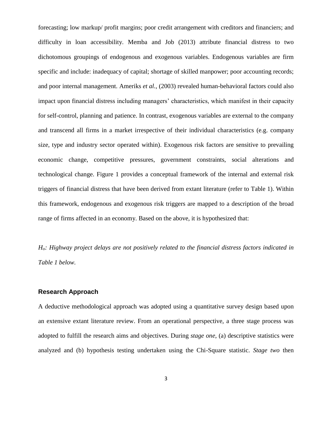forecasting; low markup/ profit margins; poor credit arrangement with creditors and financiers; and difficulty in loan accessibility. Memba and Job (2013) attribute financial distress to two dichotomous groupings of endogenous and exogenous variables. Endogenous variables are firm specific and include: inadequacy of capital; shortage of skilled manpower; poor accounting records; and poor internal management. Ameriks *et al.,* (2003) revealed human-behavioral factors could also impact upon financial distress including managers' characteristics, which manifest in their capacity for self-control, planning and patience. In contrast, exogenous variables are external to the company and transcend all firms in a market irrespective of their individual characteristics (e.g. company size, type and industry sector operated within). Exogenous risk factors are sensitive to prevailing economic change, competitive pressures, government constraints, social alterations and technological change. Figure 1 provides a conceptual framework of the internal and external risk triggers of financial distress that have been derived from extant literature (refer to Table 1). Within this framework, endogenous and exogenous risk triggers are mapped to a description of the broad range of firms affected in an economy. Based on the above, it is hypothesized that:

*Ho: Highway project delays are not positively related to the financial distress factors indicated in Table 1 below.*

### **Research Approach**

A deductive methodological approach was adopted using a quantitative survey design based upon an extensive extant literature review. From an operational perspective, a three stage process was adopted to fulfill the research aims and objectives. During *stage one*, (a) descriptive statistics were analyzed and (b) hypothesis testing undertaken using the Chi-Square statistic. *Stage two* then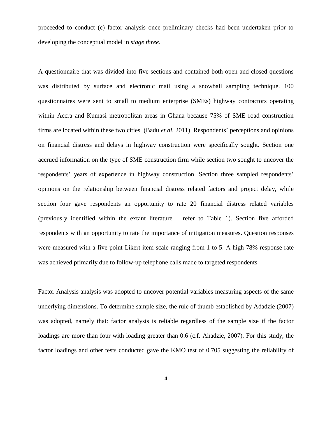proceeded to conduct (c) factor analysis once preliminary checks had been undertaken prior to developing the conceptual model in *stage three*.

A questionnaire that was divided into five sections and contained both open and closed questions was distributed by surface and electronic mail using a snowball sampling technique. 100 questionnaires were sent to small to medium enterprise (SMEs) highway contractors operating within Accra and Kumasi metropolitan areas in Ghana because 75% of SME road construction firms are located within these two cities (Badu *et al.* 2011). Respondents' perceptions and opinions on financial distress and delays in highway construction were specifically sought. Section one accrued information on the type of SME construction firm while section two sought to uncover the respondents' years of experience in highway construction. Section three sampled respondents' opinions on the relationship between financial distress related factors and project delay, while section four gave respondents an opportunity to rate 20 financial distress related variables (previously identified within the extant literature – refer to Table 1). Section five afforded respondents with an opportunity to rate the importance of mitigation measures. Question responses were measured with a five point Likert item scale ranging from 1 to 5. A high 78% response rate was achieved primarily due to follow-up telephone calls made to targeted respondents.

Factor Analysis analysis was adopted to uncover potential variables measuring aspects of the same underlying dimensions. To determine sample size, the rule of thumb established by Adadzie (2007) was adopted, namely that: factor analysis is reliable regardless of the sample size if the factor loadings are more than four with loading greater than 0.6 (c.f. Ahadzie, 2007). For this study, the factor loadings and other tests conducted gave the KMO test of 0.705 suggesting the reliability of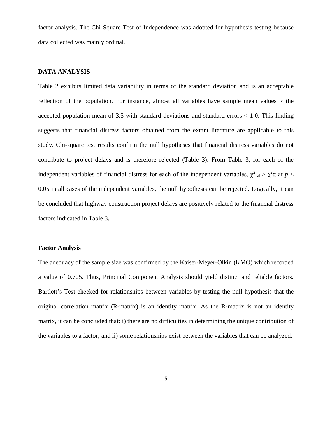factor analysis. The Chi Square Test of Independence was adopted for hypothesis testing because data collected was mainly ordinal.

### **DATA ANALYSIS**

Table 2 exhibits limited data variability in terms of the standard deviation and is an acceptable reflection of the population. For instance, almost all variables have sample mean values  $>$  the accepted population mean of  $3.5$  with standard deviations and standard errors  $< 1.0$ . This finding suggests that financial distress factors obtained from the extant literature are applicable to this study. Chi-square test results confirm the null hypotheses that financial distress variables do not contribute to project delays and is therefore rejected (Table 3). From Table 3, for each of the independent variables of financial distress for each of the independent variables,  $\chi^2_{\text{cal}} > \chi^2_{\text{cal}}$  at  $p <$ 0.05 in all cases of the independent variables, the null hypothesis can be rejected. Logically, it can be concluded that highway construction project delays are positively related to the financial distress factors indicated in Table 3*.*

## **Factor Analysis**

The adequacy of the sample size was confirmed by the Kaiser-Meyer-Olkin (KMO) which recorded a value of 0.705. Thus, Principal Component Analysis should yield distinct and reliable factors. Bartlett's Test checked for relationships between variables by testing the null hypothesis that the original correlation matrix (R-matrix) is an identity matrix. As the R-matrix is not an identity matrix, it can be concluded that: i) there are no difficulties in determining the unique contribution of the variables to a factor; and ii) some relationships exist between the variables that can be analyzed.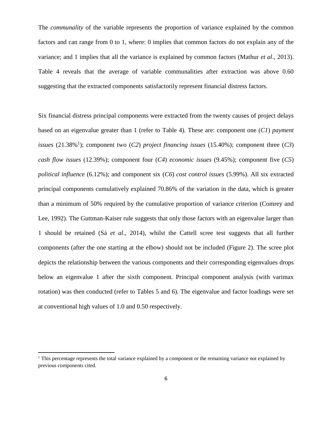The *communality* of the variable represents the proportion of variance explained by the common factors and can range from 0 to 1, where: 0 implies that common factors do not explain any of the variance; and 1 implies that all the variance is explained by common factors (Mathur *et al*., 2013). Table 4 reveals that the average of variable communalities after extraction was above 0.60 suggesting that the extracted components satisfactorily represent financial distress factors.

Six financial distress principal components were extracted from the twenty causes of project delays based on an eigenvalue greater than 1 (refer to Table 4). These are: component one (*C1*) *payment issues* (21.38%<sup>1</sup>); component two (*C2*) *project financing issues* (15.40%); component three (*C3*) *cash flow issues* (12.39%); component four (*C4*) *economic issues* (9.45%); component five (*C5*) *political influence* (6.12%); and component six (*C6*) *cost control issues* (5.99%). All six extracted principal components cumulatively explained 70.86% of the variation in the data, which is greater than a minimum of 50% required by the cumulative proportion of variance criterion (Comrey and Lee, 1992). The Guttman-Kaiser rule suggests that only those factors with an eigenvalue larger than 1 should be retained (Sá *et al*., 2014), whilst the Cattell scree test suggests that all further components (after the one starting at the elbow) should not be included (Figure 2). The scree plot depicts the relationship between the various components and their corresponding eigenvalues drops below an eigenvalue 1 after the sixth component. Principal component analysis (with varimax rotation) was then conducted (refer to Tables 5 and 6). The eigenvalue and factor loadings were set at conventional high values of 1.0 and 0.50 respectively.

l

<sup>&</sup>lt;sup>1</sup> This percentage represents the total variance explained by a component or the remaining variance not explained by previous components cited.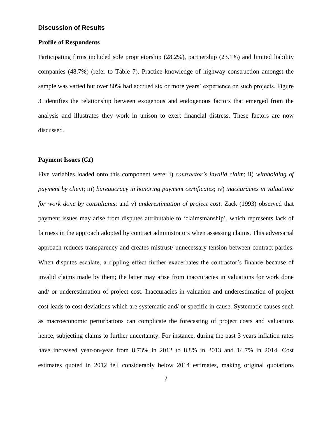# **Discussion of Results**

### **Profile of Respondents**

Participating firms included sole proprietorship (28.2%), partnership (23.1%) and limited liability companies (48.7%) (refer to Table 7). Practice knowledge of highway construction amongst the sample was varied but over 80% had accrued six or more years' experience on such projects. Figure 3 identifies the relationship between exogenous and endogenous factors that emerged from the analysis and illustrates they work in unison to exert financial distress. These factors are now discussed.

### **Payment Issues (***C1***)**

Five variables loaded onto this component were: i) *contractor's invalid claim*; ii) *withholding of payment by client*; iii) *bureaucracy in honoring payment certificates*; iv) *inaccuracies in valuations for work done by consultants*; and v) *underestimation of project cost*. Zack (1993) observed that payment issues may arise from disputes attributable to 'claimsmanship', which represents lack of fairness in the approach adopted by contract administrators when assessing claims. This adversarial approach reduces transparency and creates mistrust/ unnecessary tension between contract parties. When disputes escalate, a rippling effect further exacerbates the contractor's finance because of invalid claims made by them; the latter may arise from inaccuracies in valuations for work done and/ or underestimation of project cost. Inaccuracies in valuation and underestimation of project cost leads to cost deviations which are systematic and/ or specific in cause. Systematic causes such as macroeconomic perturbations can complicate the forecasting of project costs and valuations hence, subjecting claims to further uncertainty. For instance, during the past 3 years inflation rates have increased year-on-year from 8.73% in 2012 to 8.8% in 2013 and 14.7% in 2014. Cost estimates quoted in 2012 fell considerably below 2014 estimates, making original quotations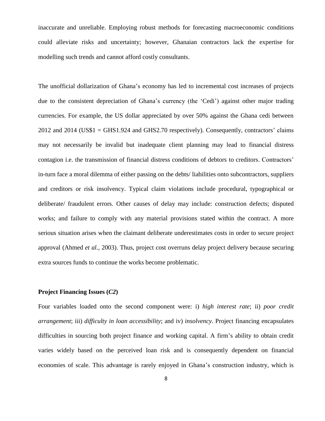inaccurate and unreliable. Employing robust methods for forecasting macroeconomic conditions could alleviate risks and uncertainty; however, Ghanaian contractors lack the expertise for modelling such trends and cannot afford costly consultants.

The unofficial dollarization of Ghana's economy has led to incremental cost increases of projects due to the consistent depreciation of Ghana's currency (the 'Cedi') against other major trading currencies. For example, the US dollar appreciated by over 50% against the Ghana cedi between 2012 and 2014 (US\$1 = GHS1.924 and GHS2.70 respectively). Consequently, contractors' claims may not necessarily be invalid but inadequate client planning may lead to financial distress contagion i.e. the transmission of financial distress conditions of debtors to creditors. Contractors' in-turn face a moral dilemma of either passing on the debts/ liabilities onto subcontractors, suppliers and creditors or risk insolvency. Typical claim violations include procedural, typographical or deliberate/ fraudulent errors. Other causes of delay may include: construction defects; disputed works; and failure to comply with any material provisions stated within the contract. A more serious situation arises when the claimant deliberate underestimates costs in order to secure project approval (Ahmed *et al.,* 2003). Thus, project cost overruns delay project delivery because securing extra sources funds to continue the works become problematic.

### **Project Financing Issues (***C2***)**

Four variables loaded onto the second component were: i) *high interest rate*; ii) *poor credit arrangement*; iii) *difficulty in loan accessibility*; and iv) *insolvency*. Project financing encapsulates difficulties in sourcing both project finance and working capital. A firm's ability to obtain credit varies widely based on the perceived loan risk and is consequently dependent on financial economies of scale. This advantage is rarely enjoyed in Ghana's construction industry, which is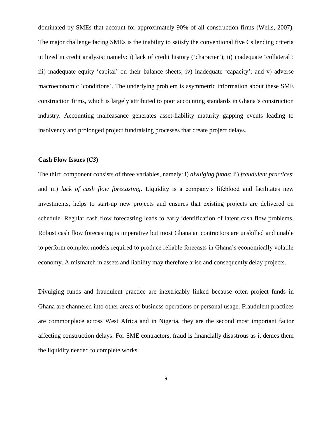dominated by SMEs that account for approximately 90% of all construction firms (Wells, 2007). The major challenge facing SMEs is the inability to satisfy the conventional five Cs lending criteria utilized in credit analysis; namely: i) lack of credit history ('character'); ii) inadequate 'collateral'; iii) inadequate equity 'capital' on their balance sheets; iv) inadequate 'capacity'; and v) adverse macroeconomic 'conditions'. The underlying problem is asymmetric information about these SME construction firms, which is largely attributed to poor accounting standards in Ghana's construction industry. Accounting malfeasance generates asset-liability maturity gapping events leading to insolvency and prolonged project fundraising processes that create project delays.

#### **Cash Flow Issues (***C3***)**

The third component consists of three variables, namely: i) *divulging funds*; ii) *fraudulent practices*; and iii) *lack of cash flow forecasting*. Liquidity is a company's lifeblood and facilitates new investments, helps to start-up new projects and ensures that existing projects are delivered on schedule. Regular cash flow forecasting leads to early identification of latent cash flow problems. Robust cash flow forecasting is imperative but most Ghanaian contractors are unskilled and unable to perform complex models required to produce reliable forecasts in Ghana's economically volatile economy. A mismatch in assets and liability may therefore arise and consequently delay projects.

Divulging funds and fraudulent practice are inextricably linked because often project funds in Ghana are channeled into other areas of business operations or personal usage. Fraudulent practices are commonplace across West Africa and in Nigeria, they are the second most important factor affecting construction delays. For SME contractors, fraud is financially disastrous as it denies them the liquidity needed to complete works.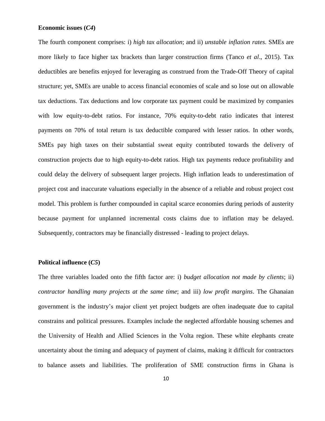# **Economic issues (***C4***)**

The fourth component comprises: i) *high tax allocation*; and ii) *unstable inflation rates*. SMEs are more likely to face higher tax brackets than larger construction firms (Tanco *et al*., 2015). Tax deductibles are benefits enjoyed for leveraging as construed from the Trade-Off Theory of capital structure; yet, SMEs are unable to access financial economies of scale and so lose out on allowable tax deductions. Tax deductions and low corporate tax payment could be maximized by companies with low equity-to-debt ratios. For instance, 70% equity-to-debt ratio indicates that interest payments on 70% of total return is tax deductible compared with lesser ratios. In other words, SMEs pay high taxes on their substantial sweat equity contributed towards the delivery of construction projects due to high equity-to-debt ratios. High tax payments reduce profitability and could delay the delivery of subsequent larger projects. High inflation leads to underestimation of project cost and inaccurate valuations especially in the absence of a reliable and robust project cost model. This problem is further compounded in capital scarce economies during periods of austerity because payment for unplanned incremental costs claims due to inflation may be delayed. Subsequently, contractors may be financially distressed - leading to project delays.

### **Political influence (***C5***)**

The three variables loaded onto the fifth factor are: i) *budget allocation not made by clients*; ii) *contractor handling many projects at the same time*; and iii) *low profit margins*. The Ghanaian government is the industry's major client yet project budgets are often inadequate due to capital constrains and political pressures. Examples include the neglected affordable housing schemes and the University of Health and Allied Sciences in the Volta region. These white elephants create uncertainty about the timing and adequacy of payment of claims, making it difficult for contractors to balance assets and liabilities. The proliferation of SME construction firms in Ghana is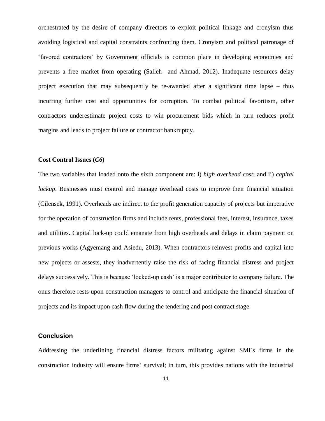orchestrated by the desire of company directors to exploit political linkage and cronyism thus avoiding logistical and capital constraints confronting them. Cronyism and political patronage of 'favored contractors' by Government officials is common place in developing economies and prevents a free market from operating (Salleh and Ahmad, 2012). Inadequate resources delay project execution that may subsequently be re-awarded after a significant time lapse – thus incurring further cost and opportunities for corruption. To combat political favoritism, other contractors underestimate project costs to win procurement bids which in turn reduces profit margins and leads to project failure or contractor bankruptcy.

### **Cost Control Issues (***C6***)**

The two variables that loaded onto the sixth component are: i) *high overhead cost*; and ii) *capital lockup*. Businesses must control and manage overhead costs to improve their financial situation (Cilensek, 1991). Overheads are indirect to the profit generation capacity of projects but imperative for the operation of construction firms and include rents, professional fees, interest, insurance, taxes and utilities. Capital lock-up could emanate from high overheads and delays in claim payment on previous works (Agyemang and Asiedu, 2013). When contractors reinvest profits and capital into new projects or assests, they inadvertently raise the risk of facing financial distress and project delays successively. This is because 'locked-up cash' is a major contributor to company failure. The onus therefore rests upon construction managers to control and anticipate the financial situation of projects and its impact upon cash flow during the tendering and post contract stage.

### **Conclusion**

Addressing the underlining financial distress factors militating against SMEs firms in the construction industry will ensure firms' survival; in turn, this provides nations with the industrial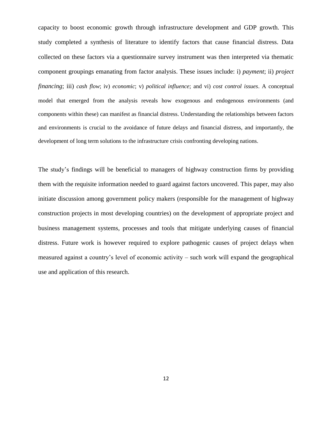capacity to boost economic growth through infrastructure development and GDP growth. This study completed a synthesis of literature to identify factors that cause financial distress. Data collected on these factors via a questionnaire survey instrument was then interpreted via thematic component groupings emanating from factor analysis. These issues include: i) *payment*; ii) *project financing*; iii) *cash flow*; iv) *economic*; v) *political influence*; and vi) *cost control issues*. A conceptual model that emerged from the analysis reveals how exogenous and endogenous environments (and components within these) can manifest as financial distress. Understanding the relationships between factors and environments is crucial to the avoidance of future delays and financial distress, and importantly, the development of long term solutions to the infrastructure crisis confronting developing nations.

The study's findings will be beneficial to managers of highway construction firms by providing them with the requisite information needed to guard against factors uncovered. This paper, may also initiate discussion among government policy makers (responsible for the management of highway construction projects in most developing countries) on the development of appropriate project and business management systems, processes and tools that mitigate underlying causes of financial distress. Future work is however required to explore pathogenic causes of project delays when measured against a country's level of economic activity – such work will expand the geographical use and application of this research.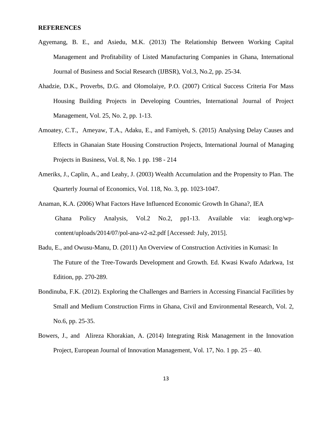#### **REFERENCES**

- Agyemang, B. E., and Asiedu, M.K. (2013) The Relationship Between Working Capital Management and Profitability of Listed Manufacturing Companies in Ghana, International Journal of Business and Social Research (IJBSR), Vol.3, No.2, pp. 25-34.
- Ahadzie, D.K., Proverbs, D.G. and Olomolaiye, P.O. (2007) Critical Success Criteria For Mass Housing Building Projects in Developing Countries, International Journal of Project Management, Vol. 25, No. 2, pp. 1-13.
- Amoatey, C.T., Ameyaw, T.A., Adaku, E., and Famiyeh, S. (2015) Analysing Delay Causes and Effects in Ghanaian State Housing Construction Projects, International Journal of Managing Projects in Business, Vol. 8, No. 1 pp. 198 - 214
- Ameriks, J., Caplin, A., and Leahy, J. (2003) Wealth Accumulation and the Propensity to Plan. The Quarterly Journal of Economics, Vol. 118, No. 3, pp. 1023-1047.
- Anaman, K.A. (2006) What Factors Have Influenced Economic Growth In Ghana?, IEA Ghana Policy Analysis, Vol.2 No.2, pp1-13. Available via: ieagh.org/wpcontent/uploads/2014/07/pol-ana-v2-n2.pdf [Accessed: July, 2015].
- Badu, E., and Owusu-Manu, D. (2011) An Overview of Construction Activities in Kumasi: In The Future of the Tree-Towards Development and Growth. Ed. Kwasi Kwafo Adarkwa, 1st Edition, pp. 270-289.
- Bondinuba, F.K. (2012). Exploring the Challenges and Barriers in Accessing Financial Facilities by Small and Medium Construction Firms in Ghana, Civil and Environmental Research, Vol. 2, No.6, pp. 25-35.
- Bowers, J., and Alireza Khorakian, A. (2014) Integrating Risk Management in the Innovation Project, European Journal of Innovation Management, Vol. 17, No. 1 pp. 25 – 40.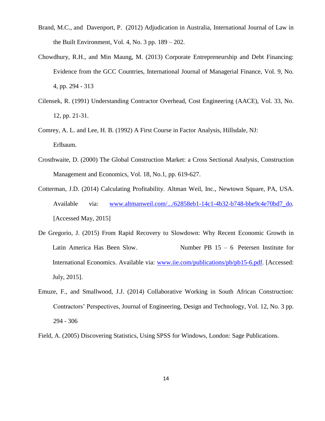- Brand, M.C., and Davenport, P. (2012) Adjudication in Australia, International Journal of Law in the Built Environment, Vol. 4, No. 3 pp. 189 – 202.
- Chowdhury, R.H., and Min Maung, M. (2013) Corporate Entrepreneurship and Debt Financing: Evidence from the GCC Countries, International Journal of Managerial Finance, Vol. 9, No. 4, pp. 294 - 313
- Cilensek, R. (1991) Understanding Contractor Overhead, Cost Engineering (AACE), Vol. 33, No. 12, pp. 21-31.
- Comrey, A. L. and Lee, H. B. (1992) A First Course in Factor Analysis, Hillsdale, NJ: Erlbaum.
- Crosthwaite, D. (2000) The Global Construction Market: a Cross Sectional Analysis, Construction Management and Economics, Vol. 18, No.1, pp. 619-627.
- Cotterman, J.D. (2014) Calculating Profitability. Altman Weil, Inc., Newtown Square, PA, USA. Available via: [www.altmanweil.com/.../62858eb1-14c1-4b32-b748-bbe9c4e70bd7\\_do](http://www.altmanweil.com/.../62858eb1-14c1-4b32-b748-bbe9c4e70bd7_do)*.*  [Accessed May, 2015]
- De Gregorio, J. (2015) From Rapid Recovery to Slowdown: Why Recent Economic Growth in Latin America Has Been Slow. Number PB  $15 - 6$  Petersen Institute for International Economics. Available via: [www.iie.com/publications/pb/pb15-6.pdf.](http://www.iie.com/publications/pb/pb15-6.pdf) [Accessed: July, 2015].
- Emuze, F., and Smallwood, J.J. (2014) Collaborative Working in South African Construction: Contractors' Perspectives, Journal of Engineering, Design and Technology, Vol. 12, No. 3 pp. 294 - 306

Field, A. (2005) Discovering Statistics, Using SPSS for Windows, London: Sage Publications.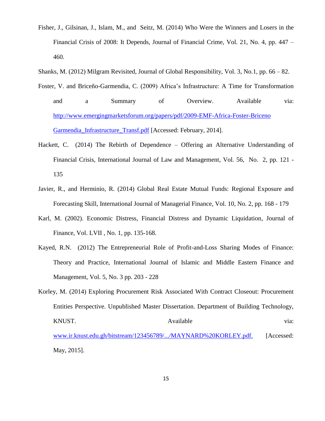- Fisher, J., Gilsinan, J., Islam, M., and Seitz, M. (2014) Who Were the Winners and Losers in the Financial Crisis of 2008: It Depends, Journal of Financial Crime, Vol. 21, No. 4, pp. 447 – 460.
- Shanks, M. (2012) Milgram Revisited, Journal of Global Responsibility, Vol. 3, No.1, pp. 66 82.
- Foster, V. and Briceño-Garmendia, C. (2009) Africa's Infrastructure: A Time for Transformation and a Summary of Overview. Available via: [http://www.emergingmarketsforum.org/papers/pdf/2009-EMF-Africa-Foster-Briceno](http://www.emergingmarketsforum.org/papers/pdf/2009-EMF-Africa-Foster-Briceno%20Garmendia_Infrastructure_Transf.pdf)  [Garmendia\\_Infrastructure\\_Transf.pdf](http://www.emergingmarketsforum.org/papers/pdf/2009-EMF-Africa-Foster-Briceno%20Garmendia_Infrastructure_Transf.pdf) [Accessed: February, 2014].
- Hackett, C. (2014) The Rebirth of Dependence Offering an Alternative Understanding of Financial Crisis, International Journal of Law and Management, Vol. 56, No. 2, pp. 121 - 135
- Javier, R., and Herminio, R. (2014) Global Real Estate Mutual Funds: Regional Exposure and Forecasting Skill, International Journal of Managerial Finance, Vol. 10, No. 2, pp. 168 - 179
- Karl, M. (2002). Economic Distress, Financial Distress and Dynamic Liquidation, Journal of Finance, Vol. LVII , No. 1, pp. 135-168.
- Kayed, R.N. (2012) The Entrepreneurial Role of Profit-and-Loss Sharing Modes of Finance: Theory and Practice, International Journal of Islamic and Middle Eastern Finance and Management, Vol. 5, No. 3 pp. 203 - 228
- Korley, M. (2014) Exploring Procurement Risk Associated With Contract Closeout: Procurement Entities Perspective. Unpublished Master Dissertation. Department of Building Technology, KNUST. Via: Available via: [www.ir.knust.edu.gh/bitstream/123456789/.../MAYNARD%20KORLEY.pdf.](file:///C:/AppData/Local/Temp/www.ir.knust.edu.gh/bitstream/123456789/.../MAYNARD%20KORLEY.pdf) [Accessed: May, 2015].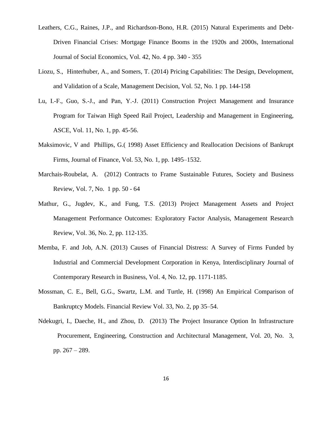- Leathers, C.G., Raines, J.P., and Richardson-Bono, H.R. (2015) Natural Experiments and Debt-Driven Financial Crises: Mortgage Finance Booms in the 1920s and 2000s, International Journal of Social Economics, Vol. 42, No. 4 pp. 340 - 355
- Liozu, S., Hinterhuber, A., and Somers, T. (2014) Pricing Capabilities: The Design, Development, and Validation of a Scale, Management Decision, Vol. 52, No. 1 pp. 144-158
- Lu, I.-F., Guo, S.-J., and Pan, Y.-J. (2011) Construction Project Management and Insurance Program for Taiwan High Speed Rail Project, Leadership and Management in Engineering, ASCE, Vol. 11, No. 1, pp. 45-56.
- Maksimovic, V and Phillips, G.( 1998) Asset Efficiency and Reallocation Decisions of Bankrupt Firms, Journal of Finance, Vol. 53, No. 1, pp. 1495–1532.
- Marchais-Roubelat, A. (2012) Contracts to Frame Sustainable Futures, Society and Business Review, Vol. 7, No. 1 pp. 50 - 64
- Mathur, G., Jugdev, K., and Fung, T.S. (2013) Project Management Assets and Project Management Performance Outcomes: Exploratory Factor Analysis, Management Research Review, Vol. 36, No. 2, pp. 112-135.
- Memba, F. and Job, A.N. (2013) Causes of Financial Distress: A Survey of Firms Funded by Industrial and Commercial Development Corporation in Kenya, Interdisciplinary Journal of Contemporary Research in Business, Vol. 4, No. 12, pp. 1171-1185.
- Mossman, C. E., Bell, G.G., Swartz, L.M. and Turtle, H. (1998) An Empirical Comparison of Bankruptcy Models. Financial Review Vol. 33, No. 2, pp 35–54.
- Ndekugri, I., Daeche, H., and Zhou, D. (2013) The Project Insurance Option In Infrastructure Procurement, Engineering, Construction and Architectural Management, Vol. 20, No. 3, pp. 267 – 289.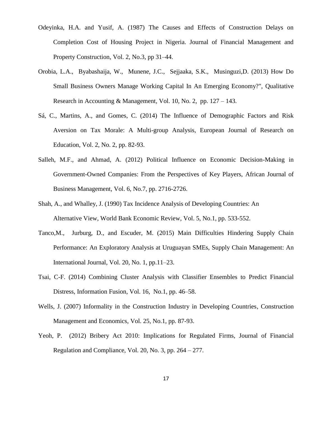- Odeyinka, H.A. and Yusif, A. (1987) The Causes and Effects of Construction Delays on Completion Cost of Housing Project in Nigeria. Journal of Financial Management and Property Construction, Vol. 2, No.3, pp 31–44.
- Orobia, L.A., Byabashaija, W., Munene, J.C., Sejjaaka, S.K., Musinguzi,D. (2013) How Do Small Business Owners Manage Working Capital In An Emerging Economy?", Qualitative Research in Accounting & Management, Vol. 10, No. 2, pp. 127 – 143.
- Sá, C., Martins, A., and Gomes, C. (2014) The Influence of Demographic Factors and Risk Aversion on Tax Morale: A Multi-group Analysis, European Journal of Research on Education, Vol. 2, No. 2, pp. 82-93.
- Salleh, M.F., and Ahmad, A. (2012) Political Influence on Economic Decision-Making in Government-Owned Companies: From the Perspectives of Key Players, African Journal of Business Management, Vol. 6, No.7, pp. 2716-2726.
- Shah, A., and Whalley, J. (1990) Tax Incidence Analysis of Developing Countries: An Alternative View, World Bank Economic Review, Vol. 5, No.1, pp. 533-552.
- Tanco,M., Jurburg, D., and Escuder, M. (2015) Main Difficulties Hindering Supply Chain Performance: An Exploratory Analysis at Uruguayan SMEs, Supply Chain Management: An International Journal, Vol. 20, No. 1, pp.11–23.
- Tsai, C-F. (2014) Combining Cluster Analysis with Classifier Ensembles to Predict Financial Distress, Information Fusion, Vol. 16, No.1, pp. 46–58.
- Wells, J. (2007) Informality in the Construction Industry in Developing Countries, Construction Management and Economics, Vol. 25, No.1, pp. 87-93.
- Yeoh, P. (2012) Bribery Act 2010: Implications for Regulated Firms, Journal of Financial Regulation and Compliance, Vol. 20, No. 3, pp. 264 – 277.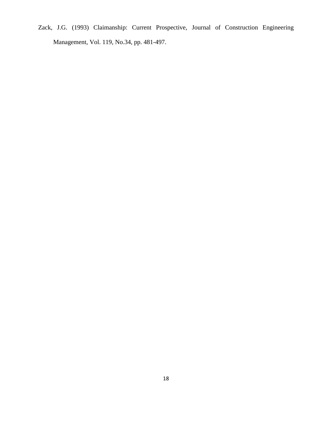Zack, J.G. (1993) Claimanship: Current Prospective, Journal of Construction Engineering Management, Vol. 119, No.34, pp. 481-497.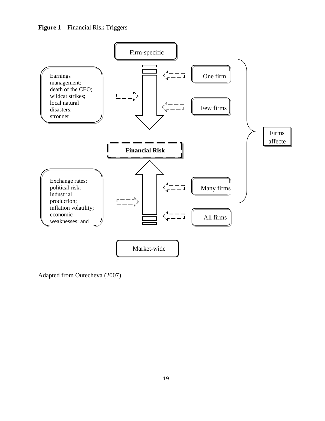**Figure 1** – Financial Risk Triggers



Adapted from Outecheva (2007)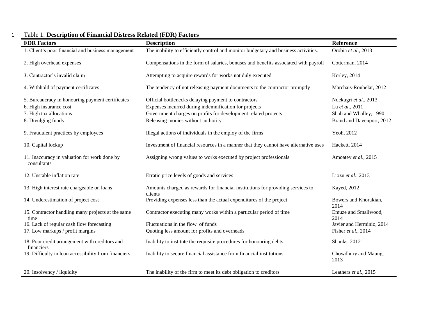| <b>FDR Factors</b>                                                                                                          | <b>Description</b>                                                                                                                                                                                                    | Reference                                                                                       |
|-----------------------------------------------------------------------------------------------------------------------------|-----------------------------------------------------------------------------------------------------------------------------------------------------------------------------------------------------------------------|-------------------------------------------------------------------------------------------------|
| 1. Client's poor financial and business management                                                                          | The inability to efficiently control and monitor budgetary and business activities.                                                                                                                                   | Orobia et al., 2013                                                                             |
| 2. High overhead expenses                                                                                                   | Compensations in the form of salaries, bonuses and benefits associated with payroll                                                                                                                                   | Cotterman, 2014                                                                                 |
| 3. Contractor's invalid claim                                                                                               | Attempting to acquire rewards for works not duly executed                                                                                                                                                             | Korley, 2014                                                                                    |
| 4. Withhold of payment certificates                                                                                         | The tendency of not releasing payment documents to the contractor promptly                                                                                                                                            | Marchais-Roubelat, 2012                                                                         |
| 5. Bureaucracy in honouring payment certificates<br>6. High insurance cost<br>7. High tax allocations<br>8. Divulging funds | Official bottlenecks delaying payment to contractors<br>Expenses incurred during indemnification for projects<br>Government charges on profits for development related projects<br>Releasing monies without authority | Ndekugri et al., 2013<br>Lu et al., 2011<br>Shah and Whalley, 1990<br>Brand and Davenport, 2012 |
| 9. Fraudulent practices by employees                                                                                        | Illegal actions of individuals in the employ of the firms                                                                                                                                                             | Yeoh, 2012                                                                                      |
| 10. Capital lockup                                                                                                          | Investment of financial resources in a manner that they cannot have alternative uses                                                                                                                                  | Hackett, 2014                                                                                   |
| 11. Inaccuracy in valuation for work done by<br>consultants                                                                 | Assigning wrong values to works executed by project professionals                                                                                                                                                     | Amoatey et al., 2015                                                                            |
| 12. Unstable inflation rate                                                                                                 | Erratic price levels of goods and services                                                                                                                                                                            | Liozu et al., 2013                                                                              |
| 13. High interest rate chargeable on loans                                                                                  | Amounts charged as rewards for financial institutions for providing services to<br>clients                                                                                                                            | Kayed, 2012                                                                                     |
| 14. Underestimation of project cost                                                                                         | Providing expenses less than the actual expenditures of the project                                                                                                                                                   | Bowers and Khorakian,<br>2014                                                                   |
| 15. Contractor handling many projects at the same<br>time                                                                   | Contractor executing many works within a particular period of time                                                                                                                                                    | Emuze and Smallwood,<br>2014                                                                    |
| 16. Lack of regular cash flow forecasting                                                                                   | Fluctuations in the flow of funds                                                                                                                                                                                     | Javier and Herminio, 2014                                                                       |
| 17. Low markups / profit margins                                                                                            | Quoting less amount for profits and overheads                                                                                                                                                                         | Fisher et al., 2014                                                                             |
| 18. Poor credit arrangement with creditors and<br>financiers                                                                | Inability to institute the requisite procedures for honouring debts                                                                                                                                                   | Shanks, 2012                                                                                    |
| 19. Difficulty in loan accessibility from financiers                                                                        | Inability to secure financial assistance from financial institutions                                                                                                                                                  | Chowdhury and Maung,<br>2013                                                                    |
| 20. Insolvency / liquidity                                                                                                  | The inability of the firm to meet its debt obligation to creditors                                                                                                                                                    | Leathers et al., 2015                                                                           |

# 1 Table 1: **Description of Financial Distress Related (FDR) Factors**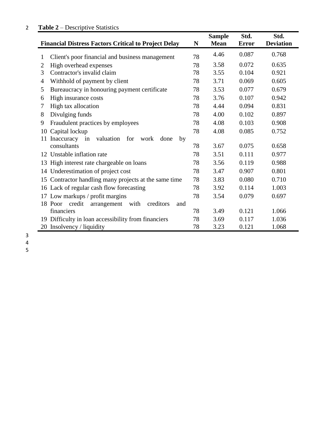# **Table 2** – Descriptive Statistics

|                                                               |    | <b>Sample</b> | Std.         | Std.             |
|---------------------------------------------------------------|----|---------------|--------------|------------------|
| <b>Financial Distress Factors Critical to Project Delay</b>   | N  | <b>Mean</b>   | <b>Error</b> | <b>Deviation</b> |
| Client's poor financial and business management<br>1          | 78 | 4.46          | 0.087        | 0.768            |
| High overhead expenses<br>$\overline{2}$                      | 78 | 3.58          | 0.072        | 0.635            |
| Contractor's invalid claim<br>3                               | 78 | 3.55          | 0.104        | 0.921            |
| Withhold of payment by client<br>4                            | 78 | 3.71          | 0.069        | 0.605            |
| Bureaucracy in honouring payment certificate<br>5             | 78 | 3.53          | 0.077        | 0.679            |
| High insurance costs<br>6                                     | 78 | 3.76          | 0.107        | 0.942            |
| High tax allocation<br>7                                      | 78 | 4.44          | 0.094        | 0.831            |
| Divulging funds<br>8                                          | 78 | 4.00          | 0.102        | 0.897            |
| Fraudulent practices by employees<br>9                        | 78 | 4.08          | 0.103        | 0.908            |
| Capital lockup<br>10                                          | 78 | 4.08          | 0.085        | 0.752            |
| valuation<br>Inaccuracy in<br>for<br>11<br>work<br>done<br>by |    |               |              |                  |
| consultants                                                   | 78 | 3.67          | 0.075        | 0.658            |
| Unstable inflation rate<br>12                                 | 78 | 3.51          | 0.111        | 0.977            |
| High interest rate chargeable on loans<br>13                  | 78 | 3.56          | 0.119        | 0.988            |
| Underestimation of project cost<br>14                         | 78 | 3.47          | 0.907        | 0.801            |
| Contractor handling many projects at the same time<br>15      | 78 | 3.83          | 0.080        | 0.710            |
| 16 Lack of regular cash flow forecasting                      | 78 | 3.92          | 0.114        | 1.003            |
| 17 Low markups / profit margins                               | 78 | 3.54          | 0.079        | 0.697            |
| credit<br>with<br>creditors<br>18 Poor<br>arrangement<br>and  |    |               |              |                  |
| financiers                                                    | 78 | 3.49          | 0.121        | 1.066            |
| 19 Difficulty in loan accessibility from financiers           | 78 | 3.69          | 0.117        | 1.036            |
| 20 Insolvency / liquidity                                     | 78 | 3.23          | 0.121        | 1.068            |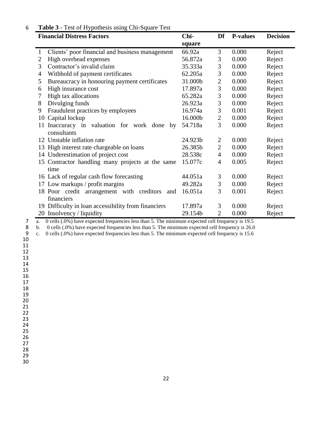# **Table 3** - Test of Hypothesis using Chi-Square Test

| <b>Financial Distress Factors</b>                                | Chi-    | Df               | <b>P-values</b> | <b>Decision</b> |
|------------------------------------------------------------------|---------|------------------|-----------------|-----------------|
|                                                                  | square  |                  |                 |                 |
| Clients' poor financial and business management<br>1             | 66.92a  | 3                | 0.000           | Reject          |
| $\overline{2}$<br>High overhead expenses                         | 56.872a | 3                | 0.000           | Reject          |
| 3<br>Contractor's invalid claim                                  | 35.333a | 3                | 0.000           | Reject          |
| Withhold of payment certificates<br>$\overline{4}$               | 62.205a | 3                | 0.000           | Reject          |
| Bureaucracy in honouring payment certificates<br>5               | 31.000b | $\boldsymbol{2}$ | 0.000           | Reject          |
| High insurance cost<br>6                                         | 17.897a | 3                | 0.000           | Reject          |
| High tax allocations<br>7                                        | 65.282a | 3                | 0.000           | Reject          |
| Divulging funds<br>8                                             | 26.923a | 3                | 0.000           | Reject          |
| Fraudulent practices by employees<br>9                           | 16.974a | 3                | 0.001           | Reject          |
| Capital lockup<br>10                                             | 16.000b | $\overline{2}$   | 0.000           | Reject          |
| Inaccuracy in valuation for work done<br>11<br>by<br>consultants | 54.718a | 3                | 0.000           | Reject          |
| 12 Unstable inflation rate                                       | 24.923b | $\overline{c}$   | 0.000           | Reject          |
| High interest rate chargeable on loans<br>13                     | 26.385b | $\overline{2}$   | 0.000           | Reject          |
| 14 Underestimation of project cost                               | 28.538c | $\overline{4}$   | 0.000           | Reject          |
| 15 Contractor handling many projects at the same<br>time         | 15.077c | 4                | 0.005           | Reject          |
| 16 Lack of regular cash flow forecasting                         | 44.051a | 3                | 0.000           | Reject          |
| 17 Low markups / profit margins                                  | 49.282a | 3                | 0.000           | Reject          |
| 18 Poor credit arrangement with creditors<br>and<br>financiers   | 16.051a | 3                | 0.001           | Reject          |
| 19 Difficulty in loan accessibility from financiers              | 17.897a | 3                | 0.000           | Reject          |
| 20 Insolvency / liquidity                                        | 29.154b | $\overline{2}$   | 0.000           | Reject          |

7 a. 0 cells (.0%) have expected frequencies less than 5. The minimum expected cell frequency is 19.5<br>8 b. 0 cells (.0%) have expected frequencies less than 5. The minimum expected cell frequency is 26.0

8 b. 0 cells (.0%) have expected frequencies less than 5. The minimum expected cell frequency is 26.0<br>9 c. 0 cells (.0%) have expected frequencies less than 5. The minimum expected cell frequency is 15.6

c. 0 cells (.0%) have expected frequencies less than 5. The minimum expected cell frequency is 15.6

- 
- 

 

 

- 
- 
- 
-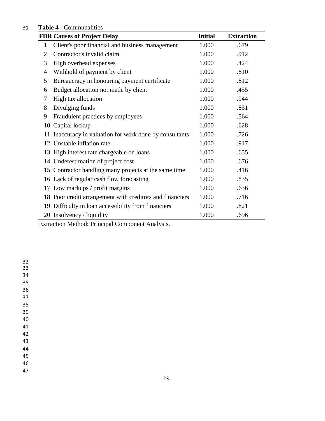# **Table 4** - Communalities

|              | <b>FDR Causes of Project Delay</b>                                                      | <b>Initial</b> | <b>Extraction</b> |
|--------------|-----------------------------------------------------------------------------------------|----------------|-------------------|
| $\mathbf{1}$ | Client's poor financial and business management                                         | 1.000          | .679              |
| 2            | Contractor's invalid claim                                                              | 1.000          | .912              |
| 3            | High overhead expenses                                                                  | 1.000          | .424              |
| 4            | Withhold of payment by client                                                           | 1.000          | .810              |
| 5            | Bureaucracy in honouring payment certificate                                            | 1.000          | .812              |
| 6            | Budget allocation not made by client                                                    | 1.000          | .455              |
| 7            | High tax allocation                                                                     | 1.000          | .944              |
| 8            | Divulging funds                                                                         | 1.000          | .851              |
| 9            | Fraudulent practices by employees                                                       | 1.000          | .564              |
| 10           | Capital lockup                                                                          | 1.000          | .628              |
|              | 11 Inaccuracy in valuation for work done by consultants                                 | 1.000          | .726              |
|              | 12 Unstable inflation rate                                                              | 1.000          | .917              |
|              | 13 High interest rate chargeable on loans                                               | 1.000          | .655              |
|              | 14 Underestimation of project cost                                                      | 1.000          | .676              |
|              | 15 Contractor handling many projects at the same time                                   | 1.000          | .416              |
|              | 16 Lack of regular cash flow forecasting                                                | 1.000          | .835              |
|              | 17 Low markups / profit margins                                                         | 1.000          | .636              |
|              | 18 Poor credit arrangement with creditors and financiers                                | 1.000          | .716              |
|              | 19 Difficulty in loan accessibility from financiers                                     | 1.000          | .821              |
|              | 20 Insolvency / liquidity                                                               | 1.000          | .696              |
|              | $\Gamma_{n+1,n+1}$ is a Matter definition of $\Gamma_{n+1,n+1}$ and $\Lambda_{n+1,n+1}$ |                |                   |

Extraction Method: Principal Component Analysis.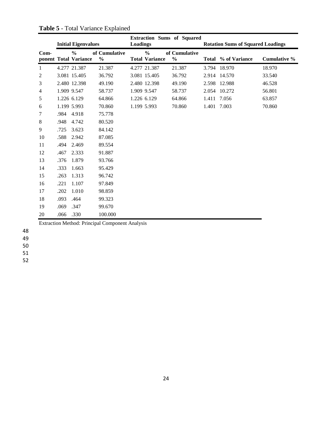|                | <b>Initial Eigenvalues</b> |                                        |                                | <b>Extraction Sums of Squared</b><br><b>Loadings</b> |                                        |                                | <b>Rotation Sums of Squared Loadings</b> |                     |              |  |
|----------------|----------------------------|----------------------------------------|--------------------------------|------------------------------------------------------|----------------------------------------|--------------------------------|------------------------------------------|---------------------|--------------|--|
| $Com-$         |                            | $\frac{0}{0}$<br>ponent Total Variance | of Cumulative<br>$\frac{0}{0}$ |                                                      | $\frac{0}{0}$<br><b>Total Variance</b> | of Cumulative<br>$\frac{0}{0}$ |                                          | Total % of Variance | Cumulative % |  |
| 1              |                            | 4.277 21.387                           | 21.387                         |                                                      | 4.277 21.387                           | 21.387                         |                                          | 3.794 18.970        | 18.970       |  |
| 2              |                            | 3.081 15.405                           | 36.792                         |                                                      | 3.081 15.405                           | 36.792                         | 2.914                                    | 14.570              | 33.540       |  |
| 3              |                            | 2.480 12.398                           | 49.190                         |                                                      | 2.480 12.398                           | 49.190                         | 2.598                                    | 12.988              | 46.528       |  |
| $\overline{4}$ |                            | 1.909 9.547                            | 58.737                         |                                                      | 1.909 9.547                            | 58.737                         | 2.054                                    | 10.272              | 56.801       |  |
| 5              |                            | 1.226 6.129                            | 64.866                         |                                                      | 1.226 6.129                            | 64.866                         | 1.411                                    | 7.056               | 63.857       |  |
| 6              |                            | 1.199 5.993                            | 70.860                         |                                                      | 1.199 5.993                            | 70.860                         | 1.401                                    | 7.003               | 70.860       |  |
| 7              | .984                       | 4.918                                  | 75.778                         |                                                      |                                        |                                |                                          |                     |              |  |
| $\,8$          | .948                       | 4.742                                  | 80.520                         |                                                      |                                        |                                |                                          |                     |              |  |
| 9              | .725                       | 3.623                                  | 84.142                         |                                                      |                                        |                                |                                          |                     |              |  |
| 10             | .588                       | 2.942                                  | 87.085                         |                                                      |                                        |                                |                                          |                     |              |  |
| 11             | .494                       | 2.469                                  | 89.554                         |                                                      |                                        |                                |                                          |                     |              |  |
| 12             | .467                       | 2.333                                  | 91.887                         |                                                      |                                        |                                |                                          |                     |              |  |
| 13             | .376                       | 1.879                                  | 93.766                         |                                                      |                                        |                                |                                          |                     |              |  |
| 14             | .333                       | 1.663                                  | 95.429                         |                                                      |                                        |                                |                                          |                     |              |  |
| 15             | .263                       | 1.313                                  | 96.742                         |                                                      |                                        |                                |                                          |                     |              |  |
| 16             | .221                       | 1.107                                  | 97.849                         |                                                      |                                        |                                |                                          |                     |              |  |
| 17             | .202                       | 1.010                                  | 98.859                         |                                                      |                                        |                                |                                          |                     |              |  |
| 18             | .093                       | .464                                   | 99.323                         |                                                      |                                        |                                |                                          |                     |              |  |
| 19             | .069                       | .347                                   | 99.670                         |                                                      |                                        |                                |                                          |                     |              |  |
| 20             | .066                       | .330                                   | 100.000                        |                                                      |                                        |                                |                                          |                     |              |  |

**Table 5** - Total Variance Explained

Extraction Method: Principal Component Analysis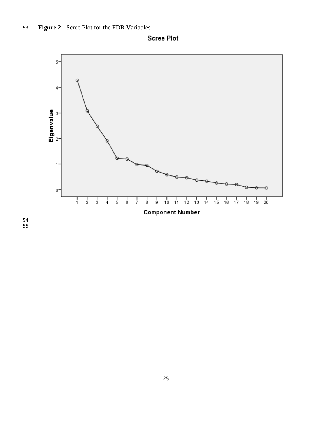

**Scree Plot**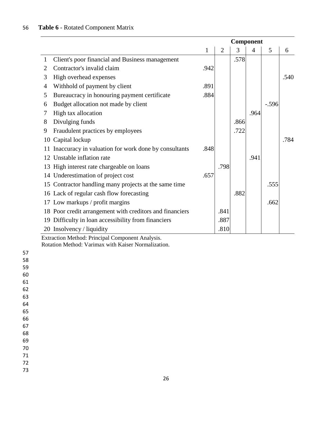# **Table 6** - Rotated Component Matrix

|                |                                                          | Component |                |      |      |         |      |
|----------------|----------------------------------------------------------|-----------|----------------|------|------|---------|------|
|                |                                                          | 1         | $\overline{2}$ | 3    | 4    | 5       | 6    |
| $\mathbf{1}$   | Client's poor financial and Business management          |           |                | .578 |      |         |      |
| $\overline{2}$ | Contractor's invalid claim                               | .942      |                |      |      |         |      |
| 3              | High overhead expenses                                   |           |                |      |      |         | .540 |
| 4              | Withhold of payment by client                            | .891      |                |      |      |         |      |
| 5              | Bureaucracy in honouring payment certificate             | .884      |                |      |      |         |      |
| 6              | Budget allocation not made by client                     |           |                |      |      | $-.596$ |      |
| 7              | High tax allocation                                      |           |                |      | .964 |         |      |
| 8              | Divulging funds                                          |           |                | .866 |      |         |      |
| 9              | Fraudulent practices by employees                        |           |                | .722 |      |         |      |
| 10             | Capital lockup                                           |           |                |      |      |         | .784 |
| 11             | Inaccuracy in valuation for work done by consultants     | .848      |                |      |      |         |      |
| 12             | Unstable inflation rate                                  |           |                |      | .941 |         |      |
| 13             | High interest rate chargeable on loans                   |           | .798           |      |      |         |      |
|                | 14 Underestimation of project cost                       | .657      |                |      |      |         |      |
| 15             | Contractor handling many projects at the same time       |           |                |      |      | .555    |      |
| 16             | Lack of regular cash flow forecasting                    |           |                | .882 |      |         |      |
| 17             | Low markups / profit margins                             |           |                |      |      | .662    |      |
|                | 18 Poor credit arrangement with creditors and financiers |           | .841           |      |      |         |      |
| 19             | Difficulty in loan accessibility from financiers         |           | .887           |      |      |         |      |
|                | 20 Insolvency / liquidity                                |           | .810           |      |      |         |      |

Extraction Method: Principal Component Analysis.

Rotation Method: Varimax with Kaiser Normalization.

| 57 |
|----|
| 58 |
| 59 |
| 60 |
| 61 |
| 62 |
| 63 |
| 64 |
| 65 |
| 66 |
| 67 |
| 68 |
| 69 |
| 70 |
| 71 |
|    |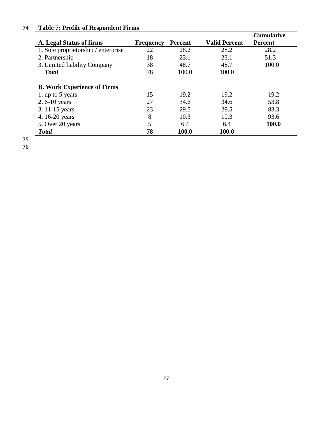# 74 **Table 7: Profile of Respondent Firms**

|                                     |                  |                |                      | <b>Cumulative</b> |
|-------------------------------------|------------------|----------------|----------------------|-------------------|
| A. Legal Status of firms            | <b>Frequency</b> | <b>Percent</b> | <b>Valid Percent</b> | <b>Percent</b>    |
| 1. Sole proprietorship / enterprise | 22               | 28.2           | 28.2                 | 28.2              |
| 2. Partnership                      | 18               | 23.1           | 23.1                 | 51.3              |
| 3. Limited liability Company        | 38               | 48.7           | 48.7                 | 100.0             |
| <b>Total</b>                        | 78               | 100.0          | 100.0                |                   |
| <b>B. Work Experience of Firms</b>  |                  |                |                      |                   |
| 1. up to 5 years                    | 15               | 19.2           | 19.2                 | 19.2              |
| 2.6-10 years                        | 27               | 34.6           | 34.6                 | 53.8              |
| 3. 11-15 years                      | 23               | 29.5           | 29.5                 | 83.3              |
| 4.16-20 years                       | 8                | 10.3           | 10.3                 | 93.6              |
| 5. Over 20 years                    | 5                | 6.4            | 6.4                  | 100.0             |
| <b>Total</b>                        | 78               | 100.0          | 100.0                |                   |

75

76